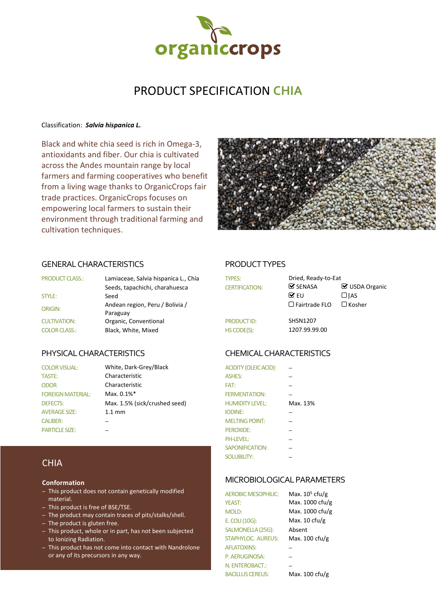

# PRODUCT SPECIFICATION **CHIA**

#### Classification: *Salvia hispanica L.*

Black and white chia seed is rich in Omega-3, antioxidants and fiber. Our chia is cultivated across the Andes mountain range by local farmers and farming cooperatives who benefit from a living wage thanks to OrganicCrops fair trade practices. OrganicCrops focuses on empowering local farmers to sustain their environment through traditional farming and cultivation techniques.



#### GENERAL CHARACTERISTICS PRODUCT TYPES

| <b>PRODUCT CLASS.:</b> | Lamiaceae, Salvia hispanica L., Chía<br>Seeds, tapachichi, charahuesca | <b>TYPES:</b><br><b>CERTIFICATION:</b> | Dried, Ready-to-Eat<br>$\mathcal G$ SENASA |
|------------------------|------------------------------------------------------------------------|----------------------------------------|--------------------------------------------|
| STYLE:                 | Seed                                                                   |                                        | $\triangledown$ FU                         |
| ORIGIN:                | Andean region, Peru / Bolivia /<br>Paraguay                            |                                        | $\Box$ Fairtrade FLO                       |
| <b>CULTIVATION:</b>    | Organic, Conventional                                                  | <b>PRODUCT ID:</b>                     | <b>SHSN1207</b>                            |
| <b>COLOR CLASS.:</b>   | Black, White, Mixed                                                    | HS CODE(S):                            | 1207.99.99.00                              |

### PHYSICAL CHARACTERISTICS CHEMICAL CHARACTERISTICS

TASTE: Characteristic ODOR Characteristic FOREIGN MATERIAL: Max. 0.1%\* AVERAGE SIZE: 1.1 mm PARTICLE SIZE:

COLOR VISUAL: White, Dark-Grey/Black DEFECTS: Max. 1.5% (sick/crushed seed) CALIBER: − MELTING POINT: −

| <b>TYPES:</b><br><b>CERTIFICATION:</b> | Dried, Ready-to-Eat<br>$\mathcal G$ SENASA<br>$\mathbf{\nabla}$ FU<br>$\Box$ Fairtrade FLO | ☑ USDA Organic<br>$\Box$ JAS<br>$\Box$ Kosher |
|----------------------------------------|--------------------------------------------------------------------------------------------|-----------------------------------------------|
| <b>PRODUCT ID:</b><br>HS CODE(S):      | <b>SHSN1207</b><br>1207.99.99.00                                                           |                                               |

| <b>ACIDITY (OLEIC ACID):</b> |          |
|------------------------------|----------|
| <b>ASHES:</b>                |          |
| FAT:                         |          |
| <b>FERMENTATION:</b>         |          |
| <b>HUMIDITY LEVEL:</b>       | Max. 13% |
| <b>IODINE:</b>               |          |
| <b>MELTING POINT:</b>        |          |
| PEROXIDE:                    |          |
| PH-LEVEL:                    |          |
| SAPONIFICATION:              |          |
| <b>SOLUBILITY:</b>           |          |

### MICROBIOLOGICAL PARAMETERS

| <b>AEROBIC MESOPHILIC:</b> | Max. $105$ cfu/g         |
|----------------------------|--------------------------|
| <b>YEAST:</b>              | Max. 1000 cfu/g          |
| MOLD:                      | Max. 1000 cfu/g          |
| E. COLI (10G):             | Max. $10 \text{ c}$ fu/g |
| SALMONELLA (25G):          | Absent                   |
| <b>STAPHYLOC. AUREUS:</b>  | Max. 100 cfu/g           |
| <b>AFLATOXINS:</b>         |                          |
| P. AERUGINOSA:             |                          |
| N. ENTEROBACT.:            |                          |
| <b>BACILLUS CEREUS:</b>    | Max. 100 cfu/g           |

## **CHIA**

#### **Conformation**

- This product does not contain genetically modified material.
- This product is free of BSE/TSE.
- The product may contain traces of pits/stalks/shell.
- The product is gluten free.
- This product, whole or in part, has not been subjected to Ionizing Radiation.
- This product has not come into contact with Nandrolone or any of its precursors in any way.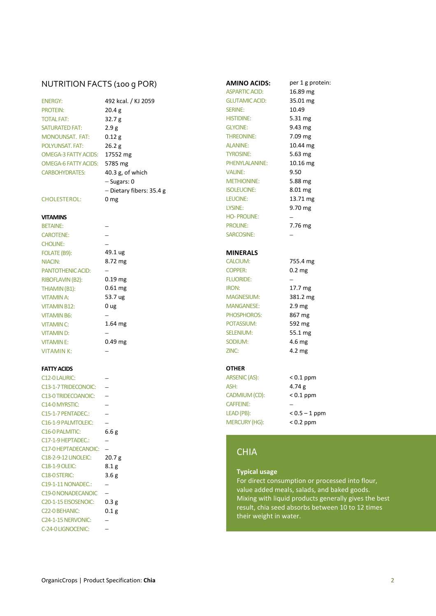# NUTRITION FACTS (100 g POR) **AMINO ACIDS:** per 1 g protein:<br>ASPARTIC AGD: 16.89 mg

| <b>FNFRGY:</b>        |
|-----------------------|
| <b>PROTFIN:</b>       |
| <b>TOTAI FAT:</b>     |
| <b>SATURATED FAT:</b> |
| MONOUNSAT. FAT:       |
| POI YUNSAT, FAT:      |
| OMEGA-3 FATTY ACIDS:  |
| OMEGA-6 FATTY ACIDS:  |
| <b>CARBOHYDRATES:</b> |
|                       |
|                       |
|                       |

#### **FATTY ACIDS**

| C <sub>12</sub> -0 LAURIC:        |                  | ARSENIC (AS):        | $\,<\,$                  |
|-----------------------------------|------------------|----------------------|--------------------------|
| C13-1-7 TRIDECONOIC:              |                  | ASH:                 | $\overline{4}$           |
| C13-0 TRIDECOANOIC:               |                  | CADMIUM (CD):        | $\,<\,$                  |
| C14-0 MYRSTIC:                    |                  | <b>CAFFEINE:</b>     | $\overline{\phantom{0}}$ |
| C15-1-7 PENTADEC.:                |                  | LEAD (PB):           | $\overline{\phantom{0}}$ |
| C16-1-9 PALMTOLEIC:               |                  | <b>MERCURY (HG):</b> | $\,<\,$                  |
| C <sub>16</sub> -0 PALMITIC:      | 6.6g             |                      |                          |
| C17-1-9 HEPTADEC.:                |                  |                      |                          |
| C17-0 HEPTADECANOIC:              |                  | <b>CHIA</b>          |                          |
| C18-2-9-12 LINOLEIC:              | 20.7 g           |                      |                          |
| C18-1-9 OLEIC:                    | 8.1 <sub>g</sub> |                      |                          |
| C <sub>18</sub> -0 STERIC:        | 3.6g             | <b>Typical usage</b> |                          |
| C19-1-11 NONADEC.:                |                  | For direct consump   |                          |
| C19-0 NONADECANOIC                |                  | value added meals    |                          |
| C <sub>20</sub> -1-15 EISOSENOIC: | 0.3 <sub>g</sub> | Mixing with liquid   |                          |
| C <sub>22</sub> -0 BEHANIC:       | 0.1 <sub>g</sub> | result, chia seed ab |                          |
| C <sub>24</sub> -1-15 NERVONIC:   |                  | their weight in wat  |                          |
| C-24-0 LIGNOCENIC:                |                  |                      |                          |

| וטטען כוטר             |
|------------------------|
| 492 kcal. / KJ 2059    |
| 20.4 g                 |
| 32.7 <sub>g</sub>      |
| 2.9g                   |
| 0.12 g                 |
| 26.2 g                 |
| S: 17552 mg            |
| S: 5785 mg             |
| $40.3$ g, of which     |
| - Sugars: 0            |
| - Dietary fibers: 35.4 |
| 0 mg                   |
|                        |
|                        |
|                        |

| 49.1 ug   |
|-----------|
| 8.72 mg   |
|           |
| 0.19 mg   |
| 0.61 mg   |
| 53.7 ug   |
| 0 ug      |
|           |
| $1.64$ mg |
|           |
| 0.49 mg   |
|           |

|      | 19 mg |
|------|-------|
|      | 51 mg |
|      | .7 ug |
| Jg   |       |
|      | 54 mg |
| 10 m |       |

| <b>ENERGY:</b>              | 492 kcal. / KJ 2059      | <b>GLUTAMIC ACID:</b> | 35.01 mg          |
|-----------------------------|--------------------------|-----------------------|-------------------|
| <b>PROTEIN:</b>             | 20.4 g                   | <b>SERINE:</b>        | 10.49             |
| <b>TOTAL FAT:</b>           | 32.7 g                   | <b>HISTIDINE:</b>     | $5.31 \text{ mg}$ |
| <b>SATURATED FAT:</b>       | 2.9g                     | <b>GLYCINE:</b>       | $9.43 \text{ mg}$ |
| <b>MONOUNSAT, FAT:</b>      | 0.12 g                   | <b>THREONINE:</b>     | 7.09 mg           |
| <b>POLYUNSAT, FAT:</b>      | 26.2 g                   | <b>ALANINE:</b>       | 10.44 mg          |
| <b>OMEGA-3 FATTY ACIDS:</b> | 17552 mg                 | <b>TYROSINE:</b>      | 5.63 mg           |
| <b>OMEGA-6 FATTY ACIDS:</b> | 5785 mg                  | PHENYLALANINE:        | 10.16 mg          |
| <b>CARBOHYDRATES:</b>       | 40.3 g, of which         | <b>VALINE:</b>        | 9.50              |
|                             | $-$ Sugars: 0            | <b>METHIONINE:</b>    | 5.88 mg           |
|                             | - Dietary fibers: 35.4 g | <b>ISOLEUCINE:</b>    | 8.01 mg           |
| <b>CHOLESTEROL:</b>         | 0 <sub>mg</sub>          | LEUCINE:              | 13.71 mg          |
|                             |                          | LYSINE:               | $9.70$ mg         |
| <b>VITAMINS</b>             |                          | <b>HO-PROLINE:</b>    |                   |
| <b>BETAINE:</b>             |                          | <b>PROLINE:</b>       | 7.76 mg           |
| <b>CAROTENE:</b>            |                          | SARCOSINE:            |                   |
| <b>CHOLINE:</b>             |                          |                       |                   |
| FOLATE (B9):                | 49.1 ug                  | <b>MINERALS</b>       |                   |
| <b>NIACIN:</b>              | 8.72 mg                  | <b>CALCIUM:</b>       | 755.4 mg          |
| <b>PANTOTHENIC ACID:</b>    |                          | <b>COPPER:</b>        | 0.2 <sub>mg</sub> |
| RIBOFLAVIN (B2):            | $0.19$ mg                | <b>FLUORIDE:</b>      |                   |
| THIAMIN (B1):               | $0.61$ mg                | <b>IRON:</b>          | 17.7 mg           |
| <b>VITAMIN A:</b>           | 53.7 ug                  | <b>MAGNESIUM:</b>     | 381.2 mg          |
| <b>VITAMIN B12:</b>         | 0 ug                     | <b>MANGANESE:</b>     | 2.9 <sub>mg</sub> |
| <b>VITAMIN B6:</b>          |                          | PHOSPHOROS:           | 867 mg            |
| <b>VITAMIN C:</b>           | $1.64$ mg                | POTASSIUM:            | 592 mg            |
| <b>VITAMIND:</b>            |                          | <b>SELENIUM:</b>      | 55.1 mg           |
| <b>VITAMINE:</b>            | $0.49$ mg                | SODIUM:               | 4.6 mg            |
| <b>VITAMIN K:</b>           |                          | ZINC:                 | 4.2 mg            |
| <b>FATTY ACIDS</b>          |                          | <b>OTHER</b>          |                   |
| C12-0 LAURIC:               |                          | ARSENIC (AS):         | $< 0.1$ ppm       |
| C42.4.7TNIDFCORIOC          |                          | ACLI.                 | $1.71 -$          |

ASPARTIC ACID:

| ASH:                 | 4.74 $g$        |
|----------------------|-----------------|
| CADMIUM (CD):        | $< 0.1$ ppm     |
| <b>CAFFEINE:</b>     |                 |
| LEAD (PB):           | $< 0.5 - 1$ ppm |
| <b>MERCURY (HG):</b> | $< 0.2$ ppm     |
|                      |                 |

# **CHIA**

#### **Typical usage**

For direct consumption or processed into flour, value added meals, salads, and baked goods. Mixing with liquid products generally gives the best result, chia seed absorbs between 10 to 12 times their weight in water.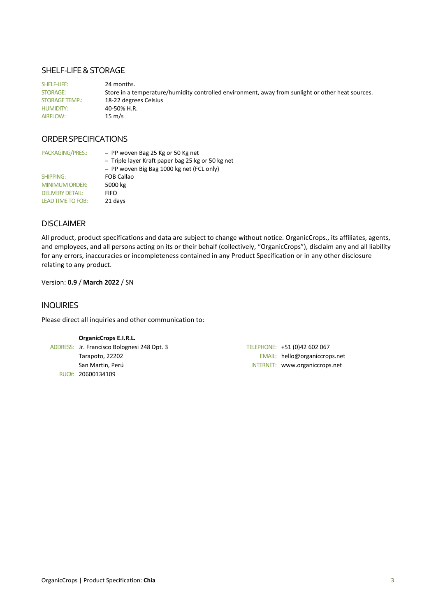### SHELF-LIFE & STORAGE

SHELF-LIFE: 24 months. STORAGE: Store in a temperature/humidity controlled environment, away from sunlight or other heat sources. STORAGE TEMP.: 18-22 degrees Celsius HUMIDITY: 40-50% H.R. AIRFLOW: 15 m/s

### ORDER SPECIFICATIONS

| PACKAGING/PRES.:         | - PP woven Bag 25 Kg or 50 Kg net<br>- Triple layer Kraft paper bag 25 kg or 50 kg net<br>- PP woven Big Bag 1000 kg net (FCL only) |
|--------------------------|-------------------------------------------------------------------------------------------------------------------------------------|
| SHIPPING:                | <b>FOB Callao</b>                                                                                                                   |
| <b>MINIMUM ORDER:</b>    | 5000 kg                                                                                                                             |
| <b>DELIVERY DETAIL:</b>  | <b>FIFO</b>                                                                                                                         |
| <b>LEAD TIME TO FOB:</b> | 21 days                                                                                                                             |

### DISCLAIMER

All product, product specifications and data are subject to change without notice. OrganicCrops., its affiliates, agents, and employees, and all persons acting on its or their behalf (collectively, "OrganicCrops"), disclaim any and all liability for any errors, inaccuracies or incompleteness contained in any Product Specification or in any other disclosure relating to any product.

#### Version: **0.9** / **March 2022** / SN

#### INQUIRIES

Please direct all inquiries and other communication to:

#### **OrganicCrops E.I.R.L.**

ADDRESS: Jr. Francisco Bolognesi 248 Dpt. 3 Tarapoto, 22202 San Martin, Perú RUC#: 20600134109

| TELEPHONE: +51 (0)42 602 067   |
|--------------------------------|
| EMAIL: hello@organiccrops.net  |
| INTERNET: www.organiccrops.net |